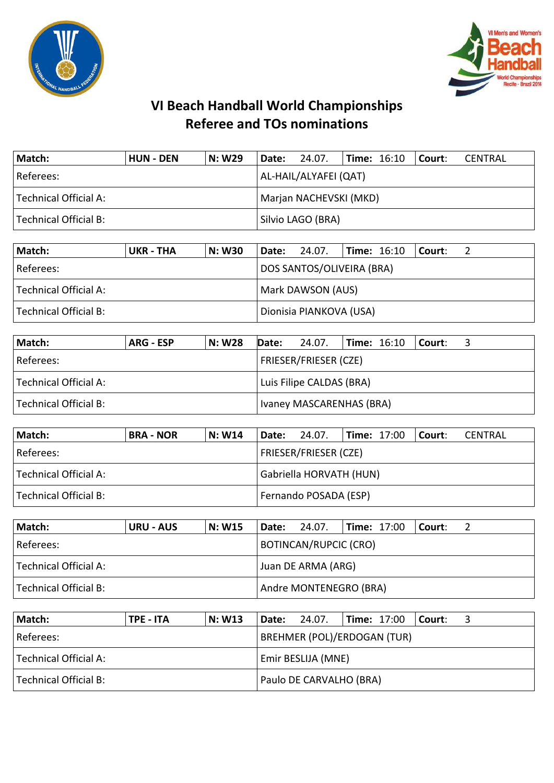



## **VI Beach Handball World Championships Referee and TOs nominations**

| Match:                | <b>HUN - DEN</b> | N: W29 | Date: 24.07.           |  | $ $ Time: 16:10 $ $ Court: |  | CENTRAL |  |
|-----------------------|------------------|--------|------------------------|--|----------------------------|--|---------|--|
| Referees:             |                  |        | AL-HAIL/ALYAFEI (QAT)  |  |                            |  |         |  |
| Technical Official A: |                  |        | Marjan NACHEVSKI (MKD) |  |                            |  |         |  |
| Technical Official B: |                  |        | Silvio LAGO (BRA)      |  |                            |  |         |  |

| Match:                | UKR - THA | <b>N: W30</b> |                   | Date: 24.07.              |  | $\textsf{Time: } 16:10$ | l Court: |  |
|-----------------------|-----------|---------------|-------------------|---------------------------|--|-------------------------|----------|--|
| Referees:             |           |               |                   | DOS SANTOS/OLIVEIRA (BRA) |  |                         |          |  |
| Technical Official A: |           |               | Mark DAWSON (AUS) |                           |  |                         |          |  |
| Technical Official B: |           |               |                   | Dionisia PIANKOVA (USA)   |  |                         |          |  |

| Match:                | ARG - ESP | N: W28 | Date: | 24.07.                       | $\textsf{Time: } 16:10$ Court: |  |
|-----------------------|-----------|--------|-------|------------------------------|--------------------------------|--|
| Referees:             |           |        |       | <b>FRIESER/FRIESER (CZE)</b> |                                |  |
| Technical Official A: |           |        |       | Luis Filipe CALDAS (BRA)     |                                |  |
| Technical Official B: |           |        |       | Ivaney MASCARENHAS (BRA)     |                                |  |

| Match:                | <b>BRA - NOR</b> | N: W14 | <b>Date:</b> 24.07.          |  | <b>Time: 17:00</b> |  | l Court: | CENTRAL |  |
|-----------------------|------------------|--------|------------------------------|--|--------------------|--|----------|---------|--|
| l Referees:           |                  |        | <b>FRIESER/FRIESER (CZE)</b> |  |                    |  |          |         |  |
| Technical Official A: |                  |        | Gabriella HORVATH (HUN)      |  |                    |  |          |         |  |
| Technical Official B: |                  |        | Fernando POSADA (ESP)        |  |                    |  |          |         |  |

| Match:                | <b>URU - AUS</b> | <b>N: W15</b> |                    | <b>Date: 24.07.</b>    | <b>Time: 17:00</b> |  | l Court: |  |
|-----------------------|------------------|---------------|--------------------|------------------------|--------------------|--|----------|--|
| Referees:             |                  |               |                    | BOTINCAN/RUPCIC (CRO)  |                    |  |          |  |
| Technical Official A: |                  |               | Juan DE ARMA (ARG) |                        |                    |  |          |  |
| Technical Official B: |                  |               |                    | Andre MONTENEGRO (BRA) |                    |  |          |  |

| Match:                | TPE - ITA | N: W13                    |  | Date: 24.07.                       |  | <b>Time: 17:00</b> | l Court: |  |
|-----------------------|-----------|---------------------------|--|------------------------------------|--|--------------------|----------|--|
| Referees:             |           |                           |  | <b>BREHMER (POL)/ERDOGAN (TUR)</b> |  |                    |          |  |
| Technical Official A: |           | <b>Emir BESLIJA (MNE)</b> |  |                                    |  |                    |          |  |
| Technical Official B: |           |                           |  | Paulo DE CARVALHO (BRA)            |  |                    |          |  |